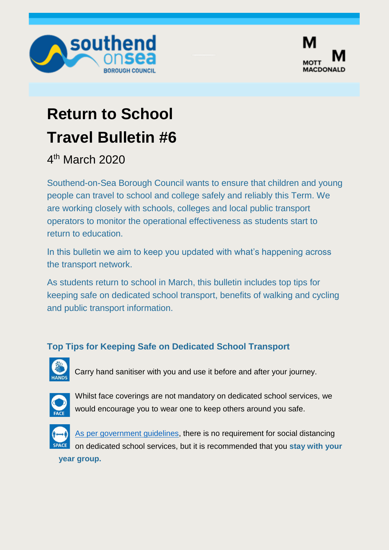



## **Return to School Travel Bulletin #6**

4 th March 2020

Southend-on-Sea Borough Council wants to ensure that children and young people can travel to school and college safely and reliably this Term. We are working closely with schools, colleges and local public transport operators to monitor the operational effectiveness as students start to return to education.

In this bulletin we aim to keep you updated with what's happening across the transport network.

As students return to school in March, this bulletin includes top tips for keeping safe on dedicated school transport, benefits of walking and cycling and public transport information.

## **Top Tips for Keeping Safe on Dedicated School Transport**



Carry hand sanitiser with you and use it before and after your journey.



Whilst face coverings are not mandatory on dedicated school services, we would encourage you to wear one to keep others around you safe.



[As per government guidelines,](https://www.gov.uk/government/publications/coronavirus-covid-19-safer-transport-guidance-for-operators/coronavirus-covid-19-safer-transport-guidance-for-operators#exemptions-from-mandatory-face-coverings-on-public-transport-and-at-transport-hubs) there is no requirement for social distancing on dedicated school services, but it is recommended that you **stay with your** 

**year group.**